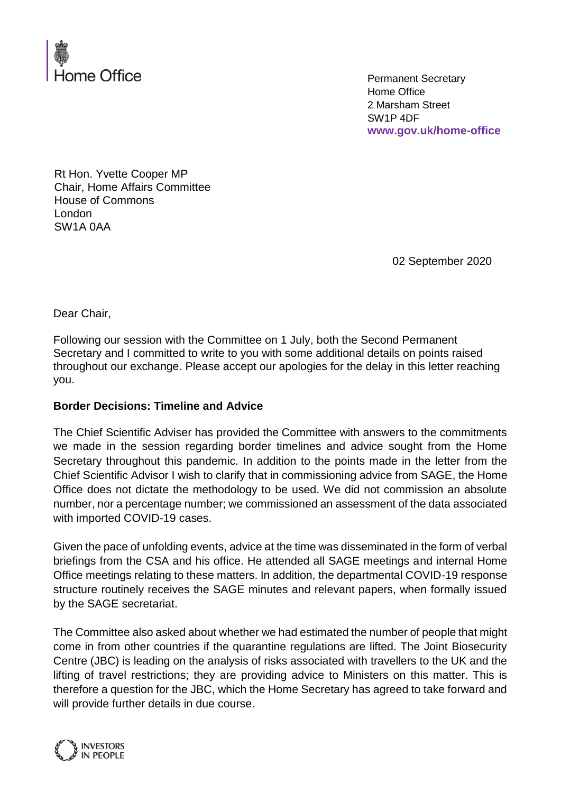

Permanent Secretary Home Office 2 Marsham Street SW1P 4DF **www.gov.uk/home-office**

Rt Hon. Yvette Cooper MP Chair, Home Affairs Committee House of Commons London SW1A 0AA

02 September 2020

Dear Chair,

Following our session with the Committee on 1 July, both the Second Permanent Secretary and I committed to write to you with some additional details on points raised throughout our exchange. Please accept our apologies for the delay in this letter reaching you.

## **Border Decisions: Timeline and Advice**

The Chief Scientific Adviser has provided the Committee with answers to the commitments we made in the session regarding border timelines and advice sought from the Home Secretary throughout this pandemic. In addition to the points made in the letter from the Chief Scientific Advisor I wish to clarify that in commissioning advice from SAGE, the Home Office does not dictate the methodology to be used. We did not commission an absolute number, nor a percentage number; we commissioned an assessment of the data associated with imported COVID-19 cases.

Given the pace of unfolding events, advice at the time was disseminated in the form of verbal briefings from the CSA and his office. He attended all SAGE meetings and internal Home Office meetings relating to these matters. In addition, the departmental COVID-19 response structure routinely receives the SAGE minutes and relevant papers, when formally issued by the SAGE secretariat.

The Committee also asked about whether we had estimated the number of people that might come in from other countries if the quarantine regulations are lifted. The Joint Biosecurity Centre (JBC) is leading on the analysis of risks associated with travellers to the UK and the lifting of travel restrictions; they are providing advice to Ministers on this matter. This is therefore a question for the JBC, which the Home Secretary has agreed to take forward and will provide further details in due course.

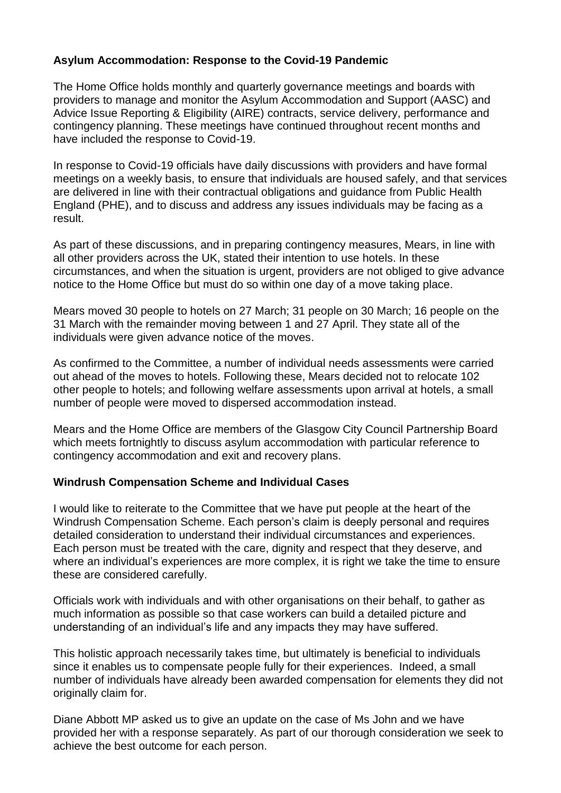## **Asylum Accommodation: Response to the Covid-19 Pandemic**

The Home Office holds monthly and quarterly governance meetings and boards with providers to manage and monitor the Asylum Accommodation and Support (AASC) and Advice Issue Reporting & Eligibility (AIRE) contracts, service delivery, performance and contingency planning. These meetings have continued throughout recent months and have included the response to Covid-19.

In response to Covid-19 officials have daily discussions with providers and have formal meetings on a weekly basis, to ensure that individuals are housed safely, and that services are delivered in line with their contractual obligations and guidance from Public Health England (PHE), and to discuss and address any issues individuals may be facing as a result.

As part of these discussions, and in preparing contingency measures, Mears, in line with all other providers across the UK, stated their intention to use hotels. In these circumstances, and when the situation is urgent, providers are not obliged to give advance notice to the Home Office but must do so within one day of a move taking place.

Mears moved 30 people to hotels on 27 March; 31 people on 30 March; 16 people on the 31 March with the remainder moving between 1 and 27 April. They state all of the individuals were given advance notice of the moves.

As confirmed to the Committee, a number of individual needs assessments were carried out ahead of the moves to hotels. Following these, Mears decided not to relocate 102 other people to hotels; and following welfare assessments upon arrival at hotels, a small number of people were moved to dispersed accommodation instead.

Mears and the Home Office are members of the Glasgow City Council Partnership Board which meets fortnightly to discuss asylum accommodation with particular reference to contingency accommodation and exit and recovery plans.

## **Windrush Compensation Scheme and Individual Cases**

I would like to reiterate to the Committee that we have put people at the heart of the Windrush Compensation Scheme. Each person's claim is deeply personal and requires detailed consideration to understand their individual circumstances and experiences. Each person must be treated with the care, dignity and respect that they deserve, and where an individual's experiences are more complex, it is right we take the time to ensure these are considered carefully.

Officials work with individuals and with other organisations on their behalf, to gather as much information as possible so that case workers can build a detailed picture and understanding of an individual's life and any impacts they may have suffered.

This holistic approach necessarily takes time, but ultimately is beneficial to individuals since it enables us to compensate people fully for their experiences. Indeed, a small number of individuals have already been awarded compensation for elements they did not originally claim for.

Diane Abbott MP asked us to give an update on the case of Ms John and we have provided her with a response separately. As part of our thorough consideration we seek to achieve the best outcome for each person.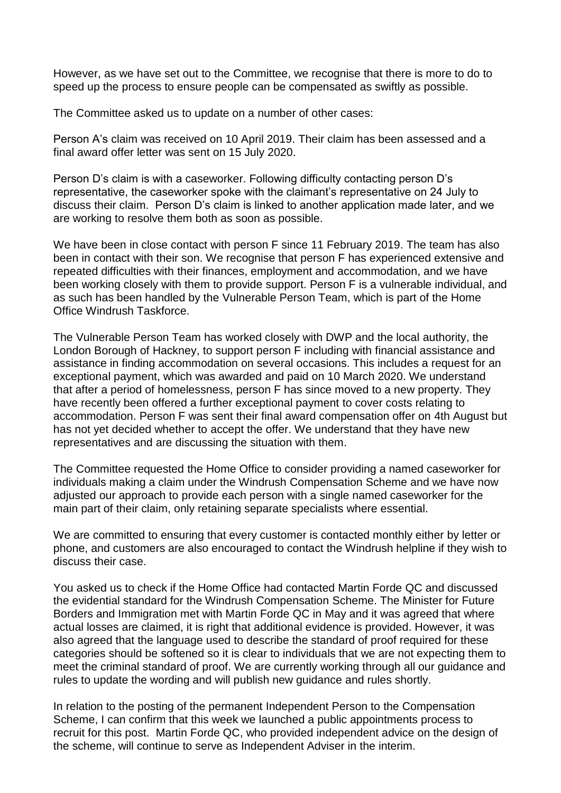However, as we have set out to the Committee, we recognise that there is more to do to speed up the process to ensure people can be compensated as swiftly as possible.

The Committee asked us to update on a number of other cases:

Person A's claim was received on 10 April 2019. Their claim has been assessed and a final award offer letter was sent on 15 July 2020.

Person D's claim is with a caseworker. Following difficulty contacting person D's representative, the caseworker spoke with the claimant's representative on 24 July to discuss their claim. Person D's claim is linked to another application made later, and we are working to resolve them both as soon as possible.

We have been in close contact with person F since 11 February 2019. The team has also been in contact with their son. We recognise that person F has experienced extensive and repeated difficulties with their finances, employment and accommodation, and we have been working closely with them to provide support. Person F is a vulnerable individual, and as such has been handled by the Vulnerable Person Team, which is part of the Home Office Windrush Taskforce.

The Vulnerable Person Team has worked closely with DWP and the local authority, the London Borough of Hackney, to support person F including with financial assistance and assistance in finding accommodation on several occasions. This includes a request for an exceptional payment, which was awarded and paid on 10 March 2020. We understand that after a period of homelessness, person F has since moved to a new property. They have recently been offered a further exceptional payment to cover costs relating to accommodation. Person F was sent their final award compensation offer on 4th August but has not yet decided whether to accept the offer. We understand that they have new representatives and are discussing the situation with them.

The Committee requested the Home Office to consider providing a named caseworker for individuals making a claim under the Windrush Compensation Scheme and we have now adjusted our approach to provide each person with a single named caseworker for the main part of their claim, only retaining separate specialists where essential.

We are committed to ensuring that every customer is contacted monthly either by letter or phone, and customers are also encouraged to contact the Windrush helpline if they wish to discuss their case.

You asked us to check if the Home Office had contacted Martin Forde QC and discussed the evidential standard for the Windrush Compensation Scheme. The Minister for Future Borders and Immigration met with Martin Forde QC in May and it was agreed that where actual losses are claimed, it is right that additional evidence is provided. However, it was also agreed that the language used to describe the standard of proof required for these categories should be softened so it is clear to individuals that we are not expecting them to meet the criminal standard of proof. We are currently working through all our guidance and rules to update the wording and will publish new guidance and rules shortly.

In relation to the posting of the permanent Independent Person to the Compensation Scheme, I can confirm that this week we launched a public appointments process to recruit for this post. Martin Forde QC, who provided independent advice on the design of the scheme, will continue to serve as Independent Adviser in the interim.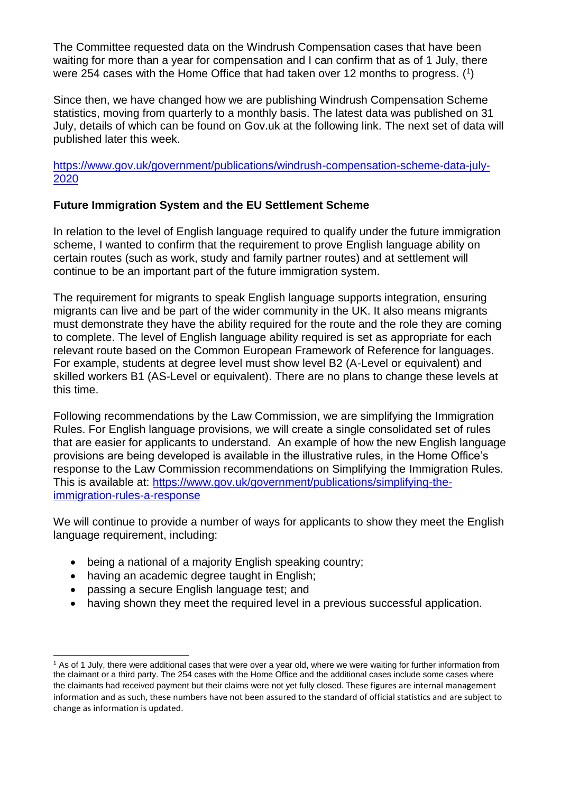The Committee requested data on the Windrush Compensation cases that have been waiting for more than a year for compensation and I can confirm that as of 1 July, there were 254 cases with the Home Office that had taken over 12 months to progress. ( 1 )

Since then, we have changed how we are publishing Windrush Compensation Scheme statistics, moving from quarterly to a monthly basis. The latest data was published on 31 July, details of which can be found on Gov.uk at the following link. The next set of data will published later this week.

[https://www.gov.uk/government/publications/windrush-compensation-scheme-data-july-](https://www.gov.uk/government/publications/windrush-compensation-scheme-data-july-2020)[2020](https://www.gov.uk/government/publications/windrush-compensation-scheme-data-july-2020)

## **Future Immigration System and the EU Settlement Scheme**

In relation to the level of English language required to qualify under the future immigration scheme, I wanted to confirm that the requirement to prove English language ability on certain routes (such as work, study and family partner routes) and at settlement will continue to be an important part of the future immigration system.

The requirement for migrants to speak English language supports integration, ensuring migrants can live and be part of the wider community in the UK. It also means migrants must demonstrate they have the ability required for the route and the role they are coming to complete. The level of English language ability required is set as appropriate for each relevant route based on the Common European Framework of Reference for languages. For example, students at degree level must show level B2 (A-Level or equivalent) and skilled workers B1 (AS-Level or equivalent). There are no plans to change these levels at this time.

Following recommendations by the Law Commission, we are simplifying the Immigration Rules. For English language provisions, we will create a single consolidated set of rules that are easier for applicants to understand. An example of how the new English language provisions are being developed is available in the illustrative rules, in the Home Office's response to the Law Commission recommendations on Simplifying the Immigration Rules. This is available at: [https://www.gov.uk/government/publications/simplifying-the](https://www.gov.uk/government/publications/simplifying-the-immigration-rules-a-response)[immigration-rules-a-response](https://www.gov.uk/government/publications/simplifying-the-immigration-rules-a-response)

We will continue to provide a number of ways for applicants to show they meet the English language requirement, including:

- being a national of a majority English speaking country;
- having an academic degree taught in English;
- passing a secure English language test; and
- having shown they meet the required level in a previous successful application.

<sup>-</sup><sup>1</sup> As of 1 July, there were additional cases that were over a year old, where we were waiting for further information from the claimant or a third party. The 254 cases with the Home Office and the additional cases include some cases where the claimants had received payment but their claims were not yet fully closed. These figures are internal management information and as such, these numbers have not been assured to the standard of official statistics and are subject to change as information is updated.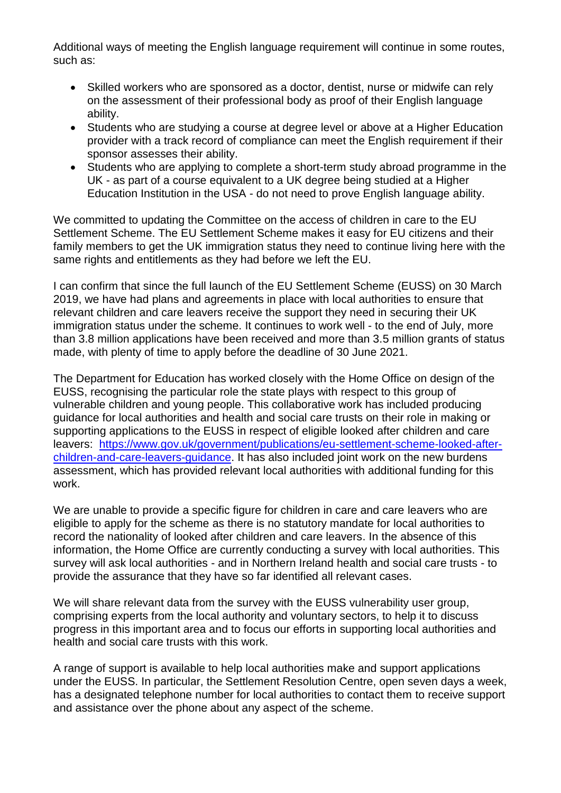Additional ways of meeting the English language requirement will continue in some routes, such as:

- Skilled workers who are sponsored as a doctor, dentist, nurse or midwife can rely on the assessment of their professional body as proof of their English language ability.
- Students who are studying a course at degree level or above at a Higher Education provider with a track record of compliance can meet the English requirement if their sponsor assesses their ability.
- Students who are applying to complete a short-term study abroad programme in the UK - as part of a course equivalent to a UK degree being studied at a Higher Education Institution in the USA - do not need to prove English language ability.

We committed to updating the Committee on the access of children in care to the EU Settlement Scheme. The EU Settlement Scheme makes it easy for EU citizens and their family members to get the UK immigration status they need to continue living here with the same rights and entitlements as they had before we left the EU.

I can confirm that since the full launch of the EU Settlement Scheme (EUSS) on 30 March 2019, we have had plans and agreements in place with local authorities to ensure that relevant children and care leavers receive the support they need in securing their UK immigration status under the scheme. It continues to work well - to the end of July, more than 3.8 million applications have been received and more than 3.5 million grants of status made, with plenty of time to apply before the deadline of 30 June 2021.

The Department for Education has worked closely with the Home Office on design of the EUSS, recognising the particular role the state plays with respect to this group of vulnerable children and young people. This collaborative work has included producing guidance for local authorities and health and social care trusts on their role in making or supporting applications to the EUSS in respect of eligible looked after children and care leavers: [https://www.gov.uk/government/publications/eu-settlement-scheme-looked-after](https://www.gov.uk/government/publications/eu-settlement-scheme-looked-after-children-and-care-leavers-guidance)[children-and-care-leavers-guidance.](https://www.gov.uk/government/publications/eu-settlement-scheme-looked-after-children-and-care-leavers-guidance) It has also included joint work on the new burdens assessment, which has provided relevant local authorities with additional funding for this work.

We are unable to provide a specific figure for children in care and care leavers who are eligible to apply for the scheme as there is no statutory mandate for local authorities to record the nationality of looked after children and care leavers. In the absence of this information, the Home Office are currently conducting a survey with local authorities. This survey will ask local authorities - and in Northern Ireland health and social care trusts - to provide the assurance that they have so far identified all relevant cases.

We will share relevant data from the survey with the EUSS vulnerability user group, comprising experts from the local authority and voluntary sectors, to help it to discuss progress in this important area and to focus our efforts in supporting local authorities and health and social care trusts with this work.

A range of support is available to help local authorities make and support applications under the EUSS. In particular, the Settlement Resolution Centre, open seven days a week, has a designated telephone number for local authorities to contact them to receive support and assistance over the phone about any aspect of the scheme.